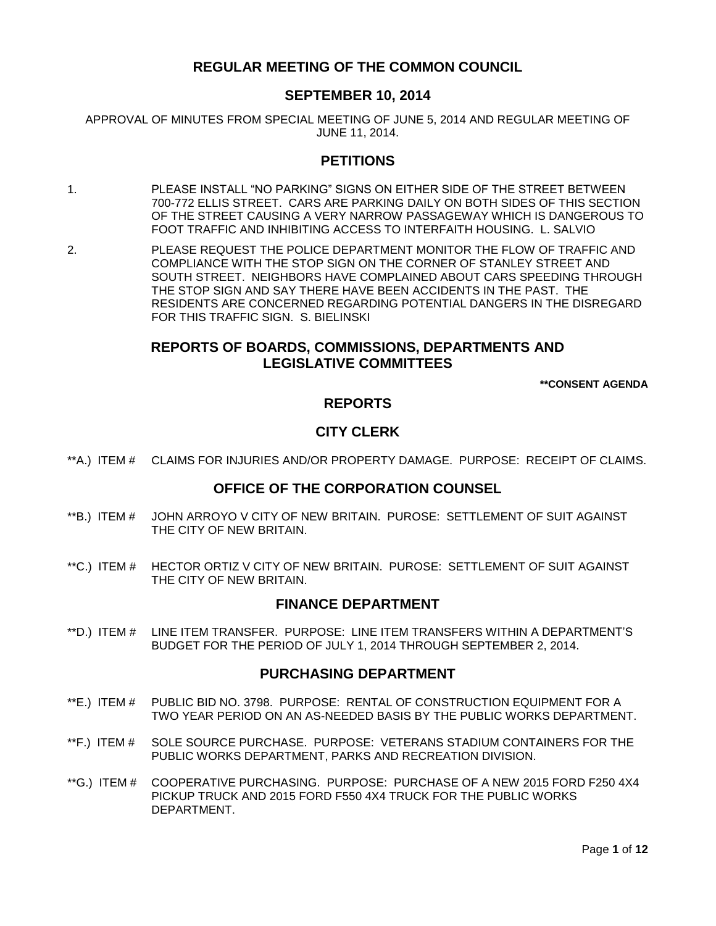# **REGULAR MEETING OF THE COMMON COUNCIL**

## **SEPTEMBER 10, 2014**

APPROVAL OF MINUTES FROM SPECIAL MEETING OF JUNE 5, 2014 AND REGULAR MEETING OF JUNE 11, 2014.

## **PETITIONS**

- 1. [PLEASE INSTALL "NO PARKING" SIGNS ON EITHER SIDE OF THE STREET BETWEEN](#page-2-0)  [700-772 ELLIS STREET. CARS ARE PARKING DAILY ON BOTH SIDES OF THIS SECTION](#page-2-0)  [OF THE STREET CAUSING A VERY NARROW PASSAGEWAY WHICH IS DANGEROUS TO](#page-2-0)  [FOOT TRAFFIC AND INHIBITING ACCESS TO INTERFAITH HOUSING. L. SALVIO](#page-2-0)
- 2. [PLEASE REQUEST THE POLICE DEPARTMENT MONITOR THE FLOW OF TRAFFIC AND](#page-2-1)  [COMPLIANCE WITH THE STOP SIGN ON THE CORNER OF STANLEY STREET AND](#page-2-1)  [SOUTH STREET. NEIGHBORS HAVE COMPLAINED ABOUT CARS SPEEDING THROUGH](#page-2-1)  [THE STOP SIGN AND SAY THERE HAVE BEEN ACCIDENTS IN THE PAST. THE](#page-2-1)  [RESIDENTS ARE CONCERNED REGARDING POTENTIAL DANGERS IN THE DISREGARD](#page-2-1)  [FOR THIS TRAFFIC SIGN. S. BIELINSKI](#page-2-1)

# **REPORTS OF BOARDS, COMMISSIONS, DEPARTMENTS AND LEGISLATIVE COMMITTEES**

**\*\*CONSENT AGENDA**

## **REPORTS**

# **CITY CLERK**

\*\*A.) ITEM # [CLAIMS FOR INJURIES AND/OR PROPERTY DAMAGE. PURPOSE: RECEIPT OF CLAIMS.](#page-2-2)

# **OFFICE OF THE CORPORATION COUNSEL**

- \*\*B.) ITEM # JOHN ARROYO [V CITY OF NEW BRITAIN. PUROSE: SETTLEMENT OF SUIT AGAINST](#page-2-3)  [THE CITY OF NEW BRITAIN.](#page-2-3)
- \*\*C.) ITEM # [HECTOR ORTIZ V CITY OF NEW BRITAIN. PUROSE: SETTLEMENT OF SUIT AGAINST](#page-3-0)  [THE CITY OF NEW BRITAIN.](#page-3-0)

# **FINANCE DEPARTMENT**

\*\*D.) ITEM # [LINE ITEM TRANSFER. PURPOSE: LINE ITEM TRANSFERS WITHIN A DEPARTMENT'S](#page-3-1)  [BUDGET FOR THE PERIOD OF JULY 1, 2014 THROUGH SEPTEMBER 2, 2014.](#page-3-1)

## **PURCHASING DEPARTMENT**

- \*\*E.) ITEM # [PUBLIC BID NO. 3798. PURPOSE: RENTAL OF CONSTRUCTION EQUIPMENT FOR A](#page-4-0)  [TWO YEAR PERIOD ON AN AS-NEEDED BASIS BY THE PUBLIC WORKS DEPARTMENT.](#page-4-0)
- \*\*F.) ITEM # [SOLE SOURCE PURCHASE. PURPOSE: VETERANS STADIUM CONTAINERS FOR THE](#page-4-1)  [PUBLIC WORKS DEPARTMENT, PARKS AND RECREATION DIVISION.](#page-4-1)
- \*\*G.) ITEM # [COOPERATIVE PURCHASING. PURPOSE: PURCHASE OF A NEW 2015 FORD F250 4X4](#page-5-0)  [PICKUP TRUCK AND 2015 FORD F550 4X4 TRUCK FOR THE PUBLIC WORKS](#page-5-0)  [DEPARTMENT.](#page-5-0)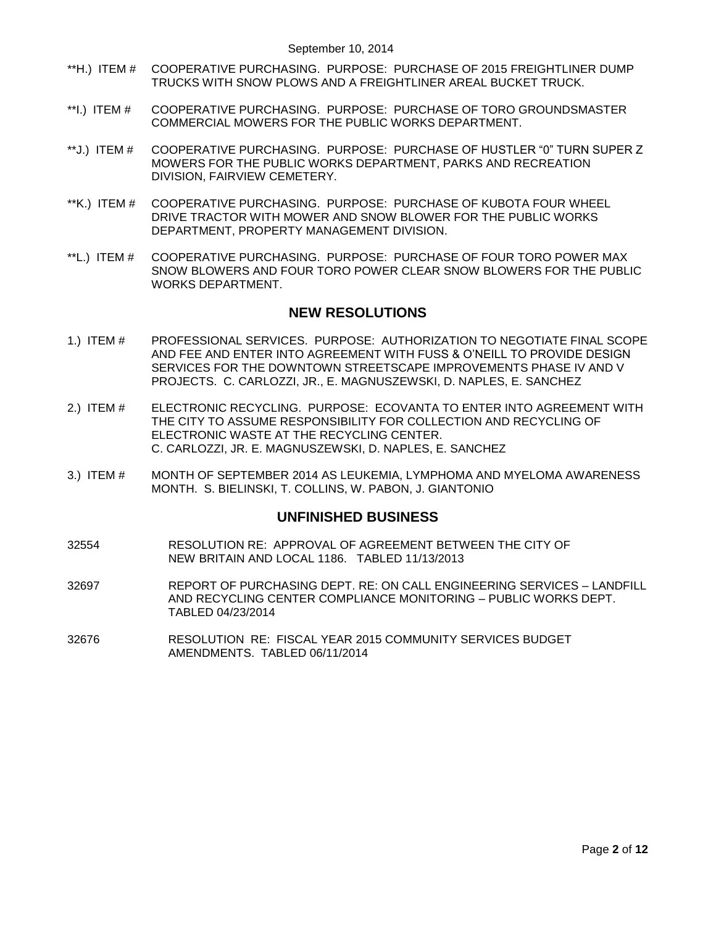- \*\*H.) ITEM # [COOPERATIVE PURCHASING. PURPOSE: PURCHASE OF 2015 FREIGHTLINER DUMP](#page-6-0)  TRUCKS WITH SNOW PLOWS [AND A FREIGHTLINER AREAL BUCKET TRUCK.](#page-6-0)
- \*\*I.) ITEM # [COOPERATIVE PURCHASING. PURPOSE: PURCHASE OF TORO GROUNDSMASTER](#page-7-0)  [COMMERCIAL MOWERS FOR THE PUBLIC WORKS DEPARTMENT.](#page-7-0)
- \*\*J.) ITEM # [COOPERATIVE PURCHASING. PURPOSE: PURCHASE OF HUSTLER "0" TURN SUPER Z](#page-7-1)  MOWERS [FOR THE PUBLIC WORKS DEPARTMENT, PARKS AND RECREATION](#page-7-1)  [DIVISION, FAIRVIEW CEMETERY.](#page-7-1)
- \*\*K.) ITEM # [COOPERATIVE PURCHASING. PURPOSE: PURCHASE OF KUBOTA FOUR WHEEL](#page-8-0)  [DRIVE TRACTOR WITH MOWER AND SNOW BLOWER FOR THE PUBLIC WORKS](#page-8-0)  [DEPARTMENT, PROPERTY MANAGEMENT DIVISION.](#page-8-0)
- \*\*L.) ITEM # [COOPERATIVE PURCHASING. PURPOSE: PURCHASE OF FOUR TORO POWER MAX](#page-9-0)  [SNOW BLOWERS AND FOUR TORO POWER CLEAR SNOW BLOWERS FOR THE PUBLIC](#page-9-0)  [WORKS DEPARTMENT.](#page-9-0)

## **NEW RESOLUTIONS**

- 1.) ITEM # [PROFESSIONAL SERVICES. PURPOSE: AUTHORIZATION TO NEGOTIATE FINAL SCOPE](#page-9-1)  [AND FEE AND ENTER INTO AGREEMENT WITH FUSS & O'NEILL TO PROVIDE DESIGN](#page-9-1)  [SERVICES FOR THE DOWNTOWN STREETSCAPE IMPROVEMENTS PHASE IV AND V](#page-9-1)  PROJECTS. C. CARLOZZI, JR., [E. MAGNUSZEWSKI, D. NAPLES, E. SANCHEZ](#page-9-1)
- 2.) ITEM # [ELECTRONIC RECYCLING. PURPOSE: ECOVANTA TO ENTER INTO AGREEMENT WITH](#page-10-0)  [THE CITY TO ASSUME RESPONSIBILITY FOR COLLECTION AND RECYCLING OF](#page-10-0)  [ELECTRONIC WASTE AT THE RECYCLING CENTER.](#page-10-0)  [C. CARLOZZI, JR. E. MAGNUSZEWSKI, D. NAPLES, E. SANCHEZ](#page-10-0)
- 3.) ITEM # [MONTH OF SEPTEMBER 2014 AS LEUKEMIA, LYMPHOMA AND MYELOMA AWARENESS](#page-11-0)  [MONTH. S. BIELINSKI, T. COLLINS, W. PABON, J. GIANTONIO](#page-11-0)

### **UNFINISHED BUSINESS**

- 32554 RESOLUTION RE: APPROVAL OF AGREEMENT BETWEEN THE CITY OF NEW BRITAIN AND LOCAL 1186. TABLED 11/13/2013
- 32697 REPORT OF PURCHASING DEPT. RE: ON CALL ENGINEERING SERVICES LANDFILL AND RECYCLING CENTER COMPLIANCE MONITORING – PUBLIC WORKS DEPT. TABLED 04/23/2014
- 32676 RESOLUTION RE: FISCAL YEAR 2015 COMMUNITY SERVICES BUDGET AMENDMENTS. TABLED 06/11/2014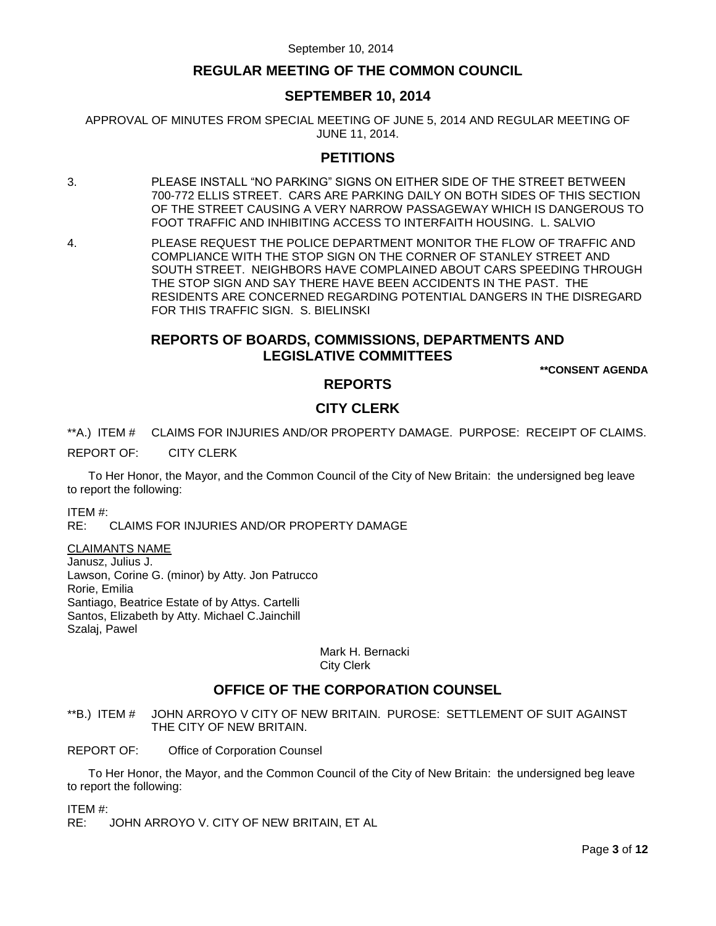# **REGULAR MEETING OF THE COMMON COUNCIL**

# **SEPTEMBER 10, 2014**

APPROVAL OF MINUTES FROM SPECIAL MEETING OF JUNE 5, 2014 AND REGULAR MEETING OF JUNE 11, 2014.

## **PETITIONS**

- <span id="page-2-0"></span>3. PLEASE INSTALL "NO PARKING" SIGNS ON EITHER SIDE OF THE STREET BETWEEN 700-772 ELLIS STREET. CARS ARE PARKING DAILY ON BOTH SIDES OF THIS SECTION OF THE STREET CAUSING A VERY NARROW PASSAGEWAY WHICH IS DANGEROUS TO FOOT TRAFFIC AND INHIBITING ACCESS TO INTERFAITH HOUSING. L. SALVIO
- <span id="page-2-1"></span>4. PLEASE REQUEST THE POLICE DEPARTMENT MONITOR THE FLOW OF TRAFFIC AND COMPLIANCE WITH THE STOP SIGN ON THE CORNER OF STANLEY STREET AND SOUTH STREET. NEIGHBORS HAVE COMPLAINED ABOUT CARS SPEEDING THROUGH THE STOP SIGN AND SAY THERE HAVE BEEN ACCIDENTS IN THE PAST. THE RESIDENTS ARE CONCERNED REGARDING POTENTIAL DANGERS IN THE DISREGARD FOR THIS TRAFFIC SIGN. S. BIELINSKI

# **REPORTS OF BOARDS, COMMISSIONS, DEPARTMENTS AND LEGISLATIVE COMMITTEES**

**\*\*CONSENT AGENDA**

## **REPORTS**

# **CITY CLERK**

<span id="page-2-2"></span>\*\*A.) ITEM # CLAIMS FOR INJURIES AND/OR PROPERTY DAMAGE. PURPOSE: RECEIPT OF CLAIMS.

REPORT OF: CITY CLERK

To Her Honor, the Mayor, and the Common Council of the City of New Britain: the undersigned beg leave to report the following:

ITEM #:

RE: CLAIMS FOR INJURIES AND/OR PROPERTY DAMAGE

### CLAIMANTS NAME

Janusz, Julius J. Lawson, Corine G. (minor) by Atty. Jon Patrucco Rorie, Emilia Santiago, Beatrice Estate of by Attys. Cartelli Santos, Elizabeth by Atty. Michael C.Jainchill Szalaj, Pawel

#### Mark H. Bernacki City Clerk

# **OFFICE OF THE CORPORATION COUNSEL**

- <span id="page-2-3"></span>\*\*B.) ITEM # JOHN ARROYO V CITY OF NEW BRITAIN. PUROSE: SETTLEMENT OF SUIT AGAINST THE CITY OF NEW BRITAIN.
- REPORT OF: Office of Corporation Counsel

To Her Honor, the Mayor, and the Common Council of the City of New Britain: the undersigned beg leave to report the following:

ITEM #:

RE: JOHN ARROYO V. CITY OF NEW BRITAIN, ET AL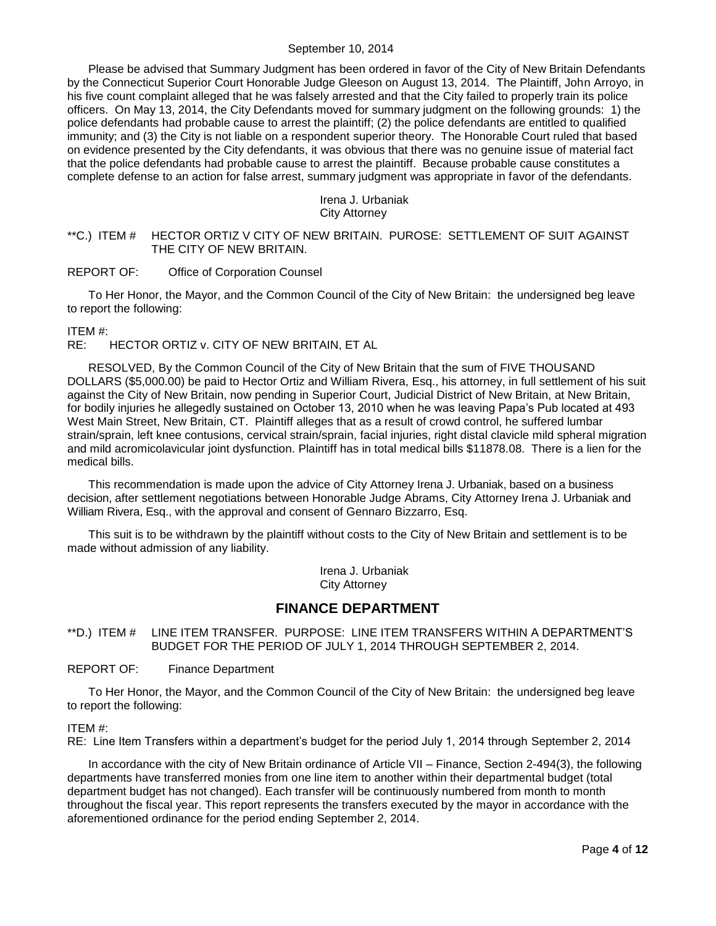Please be advised that Summary Judgment has been ordered in favor of the City of New Britain Defendants by the Connecticut Superior Court Honorable Judge Gleeson on August 13, 2014. The Plaintiff, John Arroyo, in his five count complaint alleged that he was falsely arrested and that the City failed to properly train its police officers. On May 13, 2014, the City Defendants moved for summary judgment on the following grounds: 1) the police defendants had probable cause to arrest the plaintiff; (2) the police defendants are entitled to qualified immunity; and (3) the City is not liable on a respondent superior theory. The Honorable Court ruled that based on evidence presented by the City defendants, it was obvious that there was no genuine issue of material fact that the police defendants had probable cause to arrest the plaintiff. Because probable cause constitutes a complete defense to an action for false arrest, summary judgment was appropriate in favor of the defendants.

### Irena J. Urbaniak City Attorney

<span id="page-3-0"></span>\*\*C.) ITEM # HECTOR ORTIZ V CITY OF NEW BRITAIN. PUROSE: SETTLEMENT OF SUIT AGAINST THE CITY OF NEW BRITAIN.

#### REPORT OF: Office of Corporation Counsel

To Her Honor, the Mayor, and the Common Council of the City of New Britain: the undersigned beg leave to report the following:

#### ITEM #:

RE: HECTOR ORTIZ v. CITY OF NEW BRITAIN, ET AL

RESOLVED, By the Common Council of the City of New Britain that the sum of FIVE THOUSAND DOLLARS (\$5,000.00) be paid to Hector Ortiz and William Rivera, Esq., his attorney, in full settlement of his suit against the City of New Britain, now pending in Superior Court, Judicial District of New Britain, at New Britain, for bodily injuries he allegedly sustained on October 13, 2010 when he was leaving Papa's Pub located at 493 West Main Street, New Britain, CT. Plaintiff alleges that as a result of crowd control, he suffered lumbar strain/sprain, left knee contusions, cervical strain/sprain, facial injuries, right distal clavicle mild spheral migration and mild acromicolavicular joint dysfunction. Plaintiff has in total medical bills \$11878.08. There is a lien for the medical bills.

This recommendation is made upon the advice of City Attorney Irena J. Urbaniak, based on a business decision, after settlement negotiations between Honorable Judge Abrams, City Attorney Irena J. Urbaniak and William Rivera, Esq., with the approval and consent of Gennaro Bizzarro, Esq.

This suit is to be withdrawn by the plaintiff without costs to the City of New Britain and settlement is to be made without admission of any liability.

> Irena J. Urbaniak City Attorney

## **FINANCE DEPARTMENT**

<span id="page-3-1"></span>\*\*D.) ITEM # LINE ITEM TRANSFER. PURPOSE: LINE ITEM TRANSFERS WITHIN A DEPARTMENT'S BUDGET FOR THE PERIOD OF JULY 1, 2014 THROUGH SEPTEMBER 2, 2014.

REPORT OF: Finance Department

To Her Honor, the Mayor, and the Common Council of the City of New Britain: the undersigned beg leave to report the following:

#### ITEM #:

RE: Line Item Transfers within a department's budget for the period July 1, 2014 through September 2, 2014

In accordance with the city of New Britain ordinance of Article VII – Finance, Section 2-494(3), the following departments have transferred monies from one line item to another within their departmental budget (total department budget has not changed). Each transfer will be continuously numbered from month to month throughout the fiscal year. This report represents the transfers executed by the mayor in accordance with the aforementioned ordinance for the period ending September 2, 2014.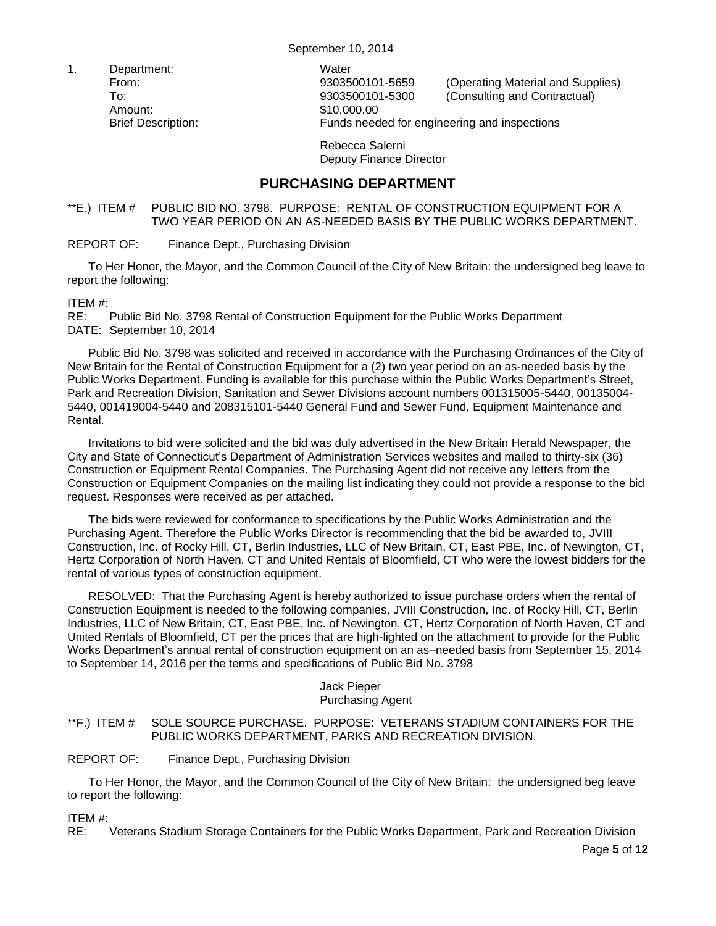1. Department: Water Amount: \$10,000.00

From: 9303500101-5659 (Operating Material and Supplies) To: 9303500101-5300 (Consulting and Contractual) Brief Description: Funds needed for engineering and inspections

> Rebecca Salerni Deputy Finance Director

# **PURCHASING DEPARTMENT**

<span id="page-4-0"></span>\*\*E.) ITEM # PUBLIC BID NO. 3798. PURPOSE: RENTAL OF CONSTRUCTION EQUIPMENT FOR A TWO YEAR PERIOD ON AN AS-NEEDED BASIS BY THE PUBLIC WORKS DEPARTMENT.

## REPORT OF: Finance Dept., Purchasing Division

To Her Honor, the Mayor, and the Common Council of the City of New Britain: the undersigned beg leave to report the following:

## ITEM #:

RE: Public Bid No. 3798 Rental of Construction Equipment for the Public Works Department DATE: September 10, 2014

Public Bid No. 3798 was solicited and received in accordance with the Purchasing Ordinances of the City of New Britain for the Rental of Construction Equipment for a (2) two year period on an as-needed basis by the Public Works Department. Funding is available for this purchase within the Public Works Department's Street, Park and Recreation Division, Sanitation and Sewer Divisions account numbers 001315005-5440, 00135004- 5440, 001419004-5440 and 208315101-5440 General Fund and Sewer Fund, Equipment Maintenance and Rental.

Invitations to bid were solicited and the bid was duly advertised in the New Britain Herald Newspaper, the City and State of Connecticut's Department of Administration Services websites and mailed to thirty-six (36) Construction or Equipment Rental Companies. The Purchasing Agent did not receive any letters from the Construction or Equipment Companies on the mailing list indicating they could not provide a response to the bid request. Responses were received as per attached.

The bids were reviewed for conformance to specifications by the Public Works Administration and the Purchasing Agent. Therefore the Public Works Director is recommending that the bid be awarded to, JVIII Construction, Inc. of Rocky Hill, CT, Berlin Industries, LLC of New Britain, CT, East PBE, Inc. of Newington, CT, Hertz Corporation of North Haven, CT and United Rentals of Bloomfield, CT who were the lowest bidders for the rental of various types of construction equipment.

RESOLVED: That the Purchasing Agent is hereby authorized to issue purchase orders when the rental of Construction Equipment is needed to the following companies, JVIII Construction, Inc. of Rocky Hill, CT, Berlin Industries, LLC of New Britain, CT, East PBE, Inc. of Newington, CT, Hertz Corporation of North Haven, CT and United Rentals of Bloomfield, CT per the prices that are high-lighted on the attachment to provide for the Public Works Department's annual rental of construction equipment on an as–needed basis from September 15, 2014 to September 14, 2016 per the terms and specifications of Public Bid No. 3798

#### Jack Pieper Purchasing Agent

## <span id="page-4-1"></span>\*\*F.) ITEM # SOLE SOURCE PURCHASE. PURPOSE: VETERANS STADIUM CONTAINERS FOR THE PUBLIC WORKS DEPARTMENT, PARKS AND RECREATION DIVISION.

### REPORT OF: Finance Dept., Purchasing Division

To Her Honor, the Mayor, and the Common Council of the City of New Britain: the undersigned beg leave to report the following:

ITEM #:

RE: Veterans Stadium Storage Containers for the Public Works Department, Park and Recreation Division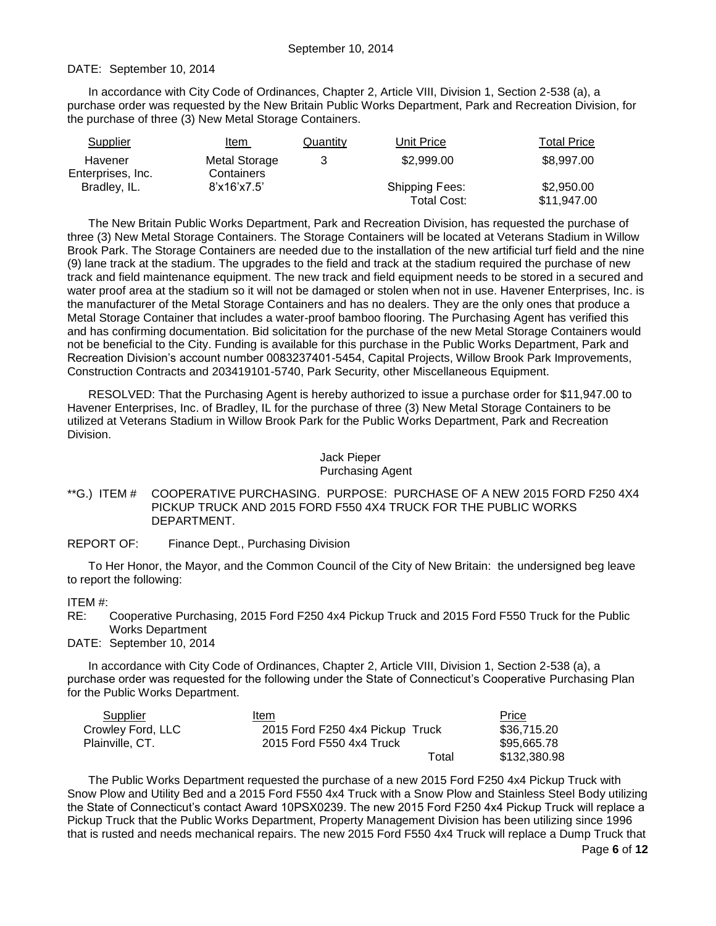#### DATE: September 10, 2014

In accordance with City Code of Ordinances, Chapter 2, Article VIII, Division 1, Section 2-538 (a), a purchase order was requested by the New Britain Public Works Department, Park and Recreation Division, for the purchase of three (3) New Metal Storage Containers.

| Supplier                     | Item                               | Quantity | Unit Price                           | <b>Total Price</b>        |
|------------------------------|------------------------------------|----------|--------------------------------------|---------------------------|
| Havener<br>Enterprises, Inc. | <b>Metal Storage</b><br>Containers | 3        | \$2,999.00                           | \$8,997.00                |
| Bradley, IL.                 | 8'x16'x7.5'                        |          | <b>Shipping Fees:</b><br>Total Cost: | \$2,950.00<br>\$11,947.00 |

The New Britain Public Works Department, Park and Recreation Division, has requested the purchase of three (3) New Metal Storage Containers. The Storage Containers will be located at Veterans Stadium in Willow Brook Park. The Storage Containers are needed due to the installation of the new artificial turf field and the nine (9) lane track at the stadium. The upgrades to the field and track at the stadium required the purchase of new track and field maintenance equipment. The new track and field equipment needs to be stored in a secured and water proof area at the stadium so it will not be damaged or stolen when not in use. Havener Enterprises, Inc. is the manufacturer of the Metal Storage Containers and has no dealers. They are the only ones that produce a Metal Storage Container that includes a water-proof bamboo flooring. The Purchasing Agent has verified this and has confirming documentation. Bid solicitation for the purchase of the new Metal Storage Containers would not be beneficial to the City. Funding is available for this purchase in the Public Works Department, Park and Recreation Division's account number 0083237401-5454, Capital Projects, Willow Brook Park Improvements, Construction Contracts and 203419101-5740, Park Security, other Miscellaneous Equipment.

RESOLVED: That the Purchasing Agent is hereby authorized to issue a purchase order for \$11,947.00 to Havener Enterprises, Inc. of Bradley, IL for the purchase of three (3) New Metal Storage Containers to be utilized at Veterans Stadium in Willow Brook Park for the Public Works Department, Park and Recreation Division.

# Jack Pieper

#### Purchasing Agent

#### <span id="page-5-0"></span>\*\*G.) ITEM # COOPERATIVE PURCHASING. PURPOSE: PURCHASE OF A NEW 2015 FORD F250 4X4 PICKUP TRUCK AND 2015 FORD F550 4X4 TRUCK FOR THE PUBLIC WORKS DEPARTMENT.

### REPORT OF: Finance Dept., Purchasing Division

To Her Honor, the Mayor, and the Common Council of the City of New Britain: the undersigned beg leave to report the following:

### ITEM #:

RE: Cooperative Purchasing, 2015 Ford F250 4x4 Pickup Truck and 2015 Ford F550 Truck for the Public Works Department

DATE: September 10, 2014

In accordance with City Code of Ordinances, Chapter 2, Article VIII, Division 1, Section 2-538 (a), a purchase order was requested for the following under the State of Connecticut's Cooperative Purchasing Plan for the Public Works Department.

| Supplier          | Item                            | <b>Price</b> |
|-------------------|---------------------------------|--------------|
| Crowley Ford, LLC | 2015 Ford F250 4x4 Pickup Truck | \$36.715.20  |
| Plainville, CT.   | 2015 Ford F550 4x4 Truck        | \$95.665.78  |
|                   | Total                           | \$132,380.98 |

The Public Works Department requested the purchase of a new 2015 Ford F250 4x4 Pickup Truck with Snow Plow and Utility Bed and a 2015 Ford F550 4x4 Truck with a Snow Plow and Stainless Steel Body utilizing the State of Connecticut's contact Award 10PSX0239. The new 2015 Ford F250 4x4 Pickup Truck will replace a Pickup Truck that the Public Works Department, Property Management Division has been utilizing since 1996 that is rusted and needs mechanical repairs. The new 2015 Ford F550 4x4 Truck will replace a Dump Truck that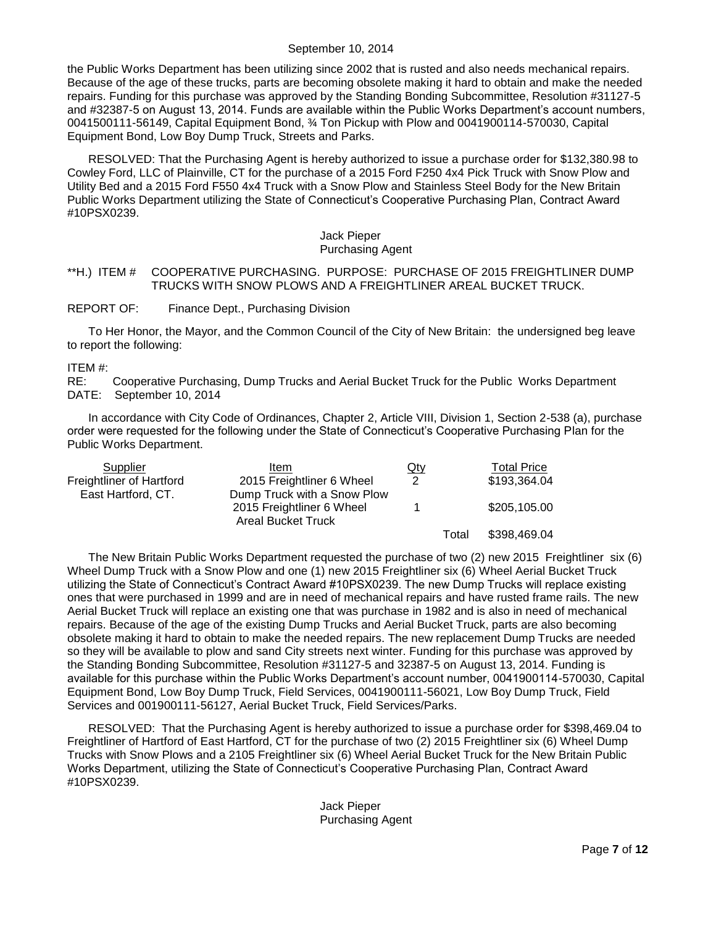the Public Works Department has been utilizing since 2002 that is rusted and also needs mechanical repairs. Because of the age of these trucks, parts are becoming obsolete making it hard to obtain and make the needed repairs. Funding for this purchase was approved by the Standing Bonding Subcommittee, Resolution #31127-5 and #32387-5 on August 13, 2014. Funds are available within the Public Works Department's account numbers, 0041500111-56149, Capital Equipment Bond, ¾ Ton Pickup with Plow and 0041900114-570030, Capital Equipment Bond, Low Boy Dump Truck, Streets and Parks.

RESOLVED: That the Purchasing Agent is hereby authorized to issue a purchase order for \$132,380.98 to Cowley Ford, LLC of Plainville, CT for the purchase of a 2015 Ford F250 4x4 Pick Truck with Snow Plow and Utility Bed and a 2015 Ford F550 4x4 Truck with a Snow Plow and Stainless Steel Body for the New Britain Public Works Department utilizing the State of Connecticut's Cooperative Purchasing Plan, Contract Award #10PSX0239.

#### Jack Pieper Purchasing Agent

### <span id="page-6-0"></span>\*\*H.) ITEM # COOPERATIVE PURCHASING. PURPOSE: PURCHASE OF 2015 FREIGHTLINER DUMP TRUCKS WITH SNOW PLOWS AND A FREIGHTLINER AREAL BUCKET TRUCK.

#### REPORT OF: Finance Dept., Purchasing Division

To Her Honor, the Mayor, and the Common Council of the City of New Britain: the undersigned beg leave to report the following:

#### ITEM #:

RE: Cooperative Purchasing, Dump Trucks and Aerial Bucket Truck for the Public Works Department DATE: September 10, 2014

In accordance with City Code of Ordinances, Chapter 2, Article VIII, Division 1, Section 2-538 (a), purchase order were requested for the following under the State of Connecticut's Cooperative Purchasing Plan for the Public Works Department.

| Supplier                 | Item                        | $Q$ ty        |       | <b>Total Price</b> |
|--------------------------|-----------------------------|---------------|-------|--------------------|
| Freightliner of Hartford | 2015 Freightliner 6 Wheel   | $\mathcal{P}$ |       | \$193,364.04       |
| East Hartford, CT.       | Dump Truck with a Snow Plow |               |       |                    |
|                          | 2015 Freightliner 6 Wheel   |               |       | \$205,105.00       |
|                          | <b>Areal Bucket Truck</b>   |               |       |                    |
|                          |                             |               | Total | \$398,469.04       |

The New Britain Public Works Department requested the purchase of two (2) new 2015 Freightliner six (6) Wheel Dump Truck with a Snow Plow and one (1) new 2015 Freightliner six (6) Wheel Aerial Bucket Truck utilizing the State of Connecticut's Contract Award #10PSX0239. The new Dump Trucks will replace existing ones that were purchased in 1999 and are in need of mechanical repairs and have rusted frame rails. The new Aerial Bucket Truck will replace an existing one that was purchase in 1982 and is also in need of mechanical repairs. Because of the age of the existing Dump Trucks and Aerial Bucket Truck, parts are also becoming obsolete making it hard to obtain to make the needed repairs. The new replacement Dump Trucks are needed so they will be available to plow and sand City streets next winter. Funding for this purchase was approved by the Standing Bonding Subcommittee, Resolution #31127-5 and 32387-5 on August 13, 2014. Funding is available for this purchase within the Public Works Department's account number, 0041900114-570030, Capital Equipment Bond, Low Boy Dump Truck, Field Services, 0041900111-56021, Low Boy Dump Truck, Field Services and 001900111-56127, Aerial Bucket Truck, Field Services/Parks.

RESOLVED: That the Purchasing Agent is hereby authorized to issue a purchase order for \$398,469.04 to Freightliner of Hartford of East Hartford, CT for the purchase of two (2) 2015 Freightliner six (6) Wheel Dump Trucks with Snow Plows and a 2105 Freightliner six (6) Wheel Aerial Bucket Truck for the New Britain Public Works Department, utilizing the State of Connecticut's Cooperative Purchasing Plan, Contract Award #10PSX0239.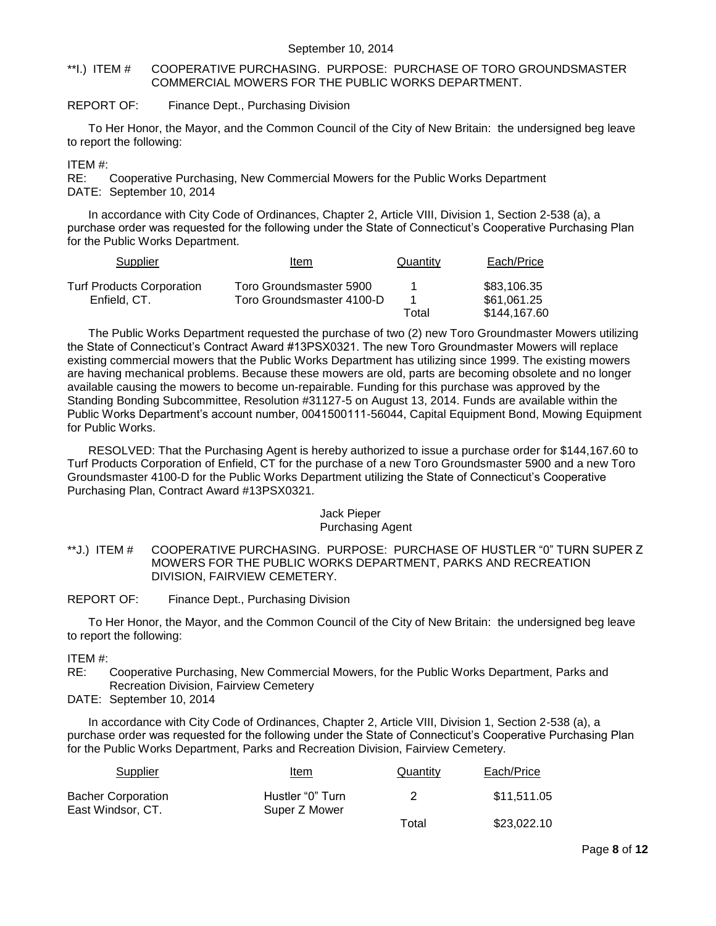### <span id="page-7-0"></span>\*\*I.) ITEM # COOPERATIVE PURCHASING. PURPOSE: PURCHASE OF TORO GROUNDSMASTER COMMERCIAL MOWERS FOR THE PUBLIC WORKS DEPARTMENT.

### REPORT OF: Finance Dept., Purchasing Division

To Her Honor, the Mayor, and the Common Council of the City of New Britain: the undersigned beg leave to report the following:

### ITEM #:

RE: Cooperative Purchasing, New Commercial Mowers for the Public Works Department DATE: September 10, 2014

In accordance with City Code of Ordinances, Chapter 2, Article VIII, Division 1, Section 2-538 (a), a purchase order was requested for the following under the State of Connecticut's Cooperative Purchasing Plan for the Public Works Department.

| Supplier                         | Item                      | Quantity | Each/Price   |
|----------------------------------|---------------------------|----------|--------------|
| <b>Turf Products Corporation</b> | Toro Groundsmaster 5900   |          | \$83,106.35  |
| Enfield, CT.                     | Toro Groundsmaster 4100-D |          | \$61,061.25  |
|                                  |                           | Total    | \$144,167.60 |

The Public Works Department requested the purchase of two (2) new Toro Groundmaster Mowers utilizing the State of Connecticut's Contract Award #13PSX0321. The new Toro Groundmaster Mowers will replace existing commercial mowers that the Public Works Department has utilizing since 1999. The existing mowers are having mechanical problems. Because these mowers are old, parts are becoming obsolete and no longer available causing the mowers to become un-repairable. Funding for this purchase was approved by the Standing Bonding Subcommittee, Resolution #31127-5 on August 13, 2014. Funds are available within the Public Works Department's account number, 0041500111-56044, Capital Equipment Bond, Mowing Equipment for Public Works.

RESOLVED: That the Purchasing Agent is hereby authorized to issue a purchase order for \$144,167.60 to Turf Products Corporation of Enfield, CT for the purchase of a new Toro Groundsmaster 5900 and a new Toro Groundsmaster 4100-D for the Public Works Department utilizing the State of Connecticut's Cooperative Purchasing Plan, Contract Award #13PSX0321.

# Jack Pieper

### Purchasing Agent

- <span id="page-7-1"></span>\*\*J.) ITEM # COOPERATIVE PURCHASING. PURPOSE: PURCHASE OF HUSTLER "0" TURN SUPER Z MOWERS FOR THE PUBLIC WORKS DEPARTMENT, PARKS AND RECREATION DIVISION, FAIRVIEW CEMETERY.
- REPORT OF: Finance Dept., Purchasing Division

To Her Honor, the Mayor, and the Common Council of the City of New Britain: the undersigned beg leave to report the following:

ITEM #:

RE: Cooperative Purchasing, New Commercial Mowers, for the Public Works Department, Parks and Recreation Division, Fairview Cemetery

DATE: September 10, 2014

In accordance with City Code of Ordinances, Chapter 2, Article VIII, Division 1, Section 2-538 (a), a purchase order was requested for the following under the State of Connecticut's Cooperative Purchasing Plan for the Public Works Department, Parks and Recreation Division, Fairview Cemetery.

| Supplier                                | <u>Item</u>                       | <b>Quantity</b> | Each/Price  |
|-----------------------------------------|-----------------------------------|-----------------|-------------|
| Bacher Corporation<br>East Windsor, CT. | Hustler "0" Turn<br>Super Z Mower |                 | \$11,511.05 |
|                                         |                                   | Total           | \$23,022.10 |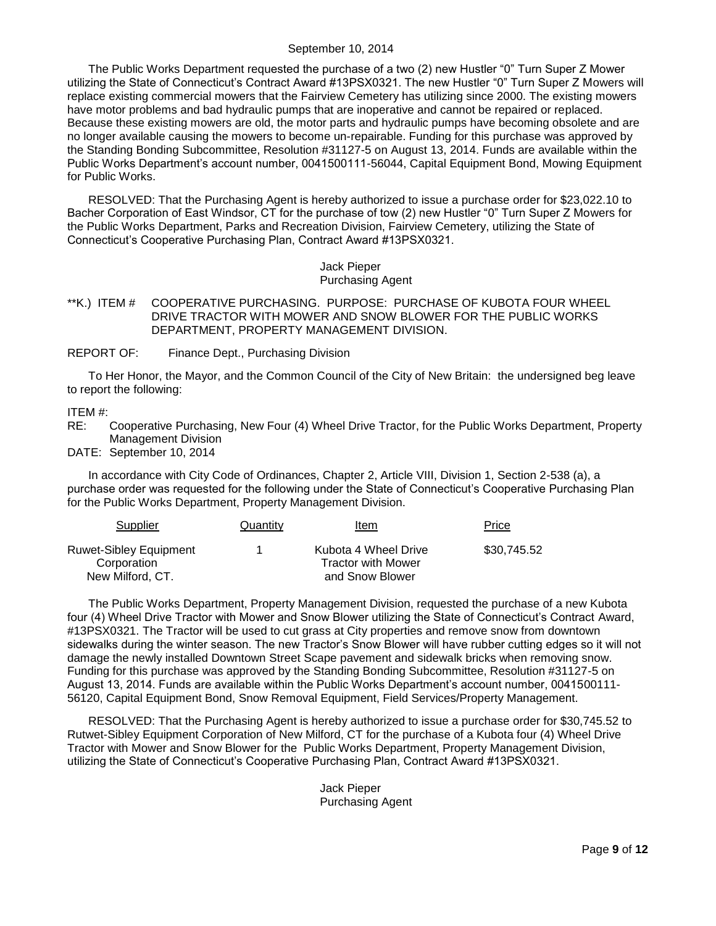The Public Works Department requested the purchase of a two (2) new Hustler "0" Turn Super Z Mower utilizing the State of Connecticut's Contract Award #13PSX0321. The new Hustler "0" Turn Super Z Mowers will replace existing commercial mowers that the Fairview Cemetery has utilizing since 2000. The existing mowers have motor problems and bad hydraulic pumps that are inoperative and cannot be repaired or replaced. Because these existing mowers are old, the motor parts and hydraulic pumps have becoming obsolete and are no longer available causing the mowers to become un-repairable. Funding for this purchase was approved by the Standing Bonding Subcommittee, Resolution #31127-5 on August 13, 2014. Funds are available within the Public Works Department's account number, 0041500111-56044, Capital Equipment Bond, Mowing Equipment for Public Works.

RESOLVED: That the Purchasing Agent is hereby authorized to issue a purchase order for \$23,022.10 to Bacher Corporation of East Windsor, CT for the purchase of tow (2) new Hustler "0" Turn Super Z Mowers for the Public Works Department, Parks and Recreation Division, Fairview Cemetery, utilizing the State of Connecticut's Cooperative Purchasing Plan, Contract Award #13PSX0321.

> Jack Pieper Purchasing Agent

### <span id="page-8-0"></span>\*\*K.) ITEM # COOPERATIVE PURCHASING. PURPOSE: PURCHASE OF KUBOTA FOUR WHEEL DRIVE TRACTOR WITH MOWER AND SNOW BLOWER FOR THE PUBLIC WORKS DEPARTMENT, PROPERTY MANAGEMENT DIVISION.

REPORT OF: Finance Dept., Purchasing Division

To Her Honor, the Mayor, and the Common Council of the City of New Britain: the undersigned beg leave to report the following:

### ITEM #:

RE: Cooperative Purchasing, New Four (4) Wheel Drive Tractor, for the Public Works Department, Property Management Division

DATE: September 10, 2014

In accordance with City Code of Ordinances, Chapter 2, Article VIII, Division 1, Section 2-538 (a), a purchase order was requested for the following under the State of Connecticut's Cooperative Purchasing Plan for the Public Works Department, Property Management Division.

| Supplier                                     | Quantity | Item                                              | Price       |
|----------------------------------------------|----------|---------------------------------------------------|-------------|
| <b>Ruwet-Sibley Equipment</b><br>Corporation |          | Kubota 4 Wheel Drive<br><b>Tractor with Mower</b> | \$30,745.52 |
| New Milford, CT.                             |          | and Snow Blower                                   |             |

The Public Works Department, Property Management Division, requested the purchase of a new Kubota four (4) Wheel Drive Tractor with Mower and Snow Blower utilizing the State of Connecticut's Contract Award, #13PSX0321. The Tractor will be used to cut grass at City properties and remove snow from downtown sidewalks during the winter season. The new Tractor's Snow Blower will have rubber cutting edges so it will not damage the newly installed Downtown Street Scape pavement and sidewalk bricks when removing snow. Funding for this purchase was approved by the Standing Bonding Subcommittee, Resolution #31127-5 on August 13, 2014. Funds are available within the Public Works Department's account number, 0041500111- 56120, Capital Equipment Bond, Snow Removal Equipment, Field Services/Property Management.

RESOLVED: That the Purchasing Agent is hereby authorized to issue a purchase order for \$30,745.52 to Rutwet-Sibley Equipment Corporation of New Milford, CT for the purchase of a Kubota four (4) Wheel Drive Tractor with Mower and Snow Blower for the Public Works Department, Property Management Division, utilizing the State of Connecticut's Cooperative Purchasing Plan, Contract Award #13PSX0321.

> Jack Pieper Purchasing Agent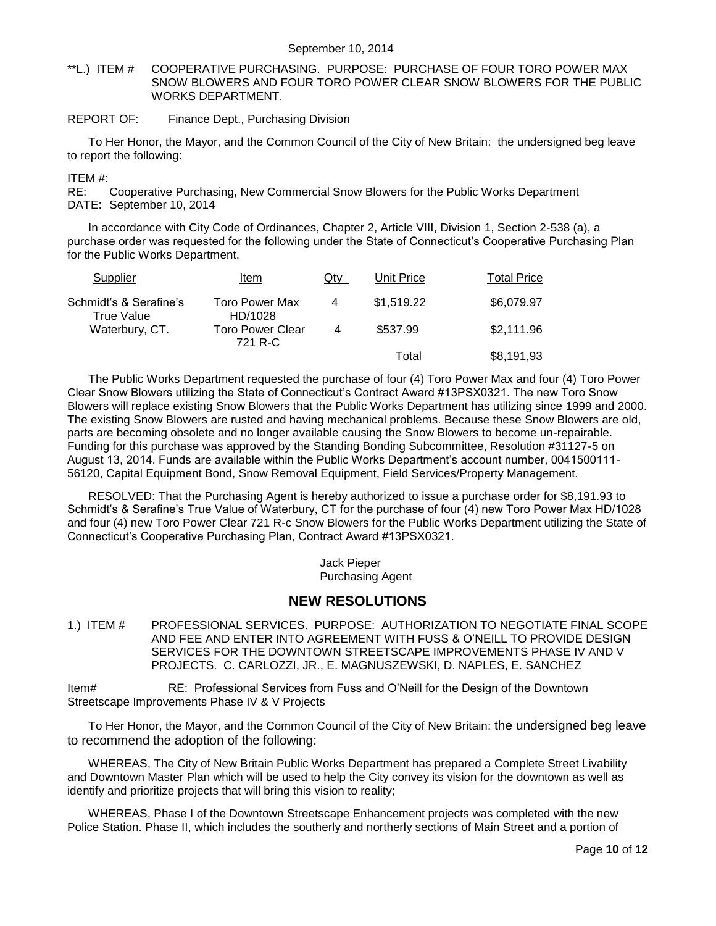<span id="page-9-0"></span>\*\*L.) ITEM # COOPERATIVE PURCHASING. PURPOSE: PURCHASE OF FOUR TORO POWER MAX SNOW BLOWERS AND FOUR TORO POWER CLEAR SNOW BLOWERS FOR THE PUBLIC WORKS DEPARTMENT.

## REPORT OF: Finance Dept., Purchasing Division

To Her Honor, the Mayor, and the Common Council of the City of New Britain: the undersigned beg leave to report the following:

#### ITEM #:

RE: Cooperative Purchasing, New Commercial Snow Blowers for the Public Works Department DATE: September 10, 2014

In accordance with City Code of Ordinances, Chapter 2, Article VIII, Division 1, Section 2-538 (a), a purchase order was requested for the following under the State of Connecticut's Cooperative Purchasing Plan for the Public Works Department.

| Supplier                             | Item                               | Qtv | Unit Price | <b>Total Price</b> |
|--------------------------------------|------------------------------------|-----|------------|--------------------|
| Schmidt's & Serafine's<br>True Value | <b>Toro Power Max</b><br>HD/1028   | 4   | \$1.519.22 | \$6,079.97         |
| Waterbury, CT.                       | <b>Toro Power Clear</b><br>721 R-C | 4   | \$537.99   | \$2,111.96         |
|                                      |                                    |     | Total      | \$8,191,93         |

The Public Works Department requested the purchase of four (4) Toro Power Max and four (4) Toro Power Clear Snow Blowers utilizing the State of Connecticut's Contract Award #13PSX0321. The new Toro Snow Blowers will replace existing Snow Blowers that the Public Works Department has utilizing since 1999 and 2000. The existing Snow Blowers are rusted and having mechanical problems. Because these Snow Blowers are old, parts are becoming obsolete and no longer available causing the Snow Blowers to become un-repairable. Funding for this purchase was approved by the Standing Bonding Subcommittee, Resolution #31127-5 on August 13, 2014. Funds are available within the Public Works Department's account number, 0041500111- 56120, Capital Equipment Bond, Snow Removal Equipment, Field Services/Property Management.

RESOLVED: That the Purchasing Agent is hereby authorized to issue a purchase order for \$8,191.93 to Schmidt's & Serafine's True Value of Waterbury, CT for the purchase of four (4) new Toro Power Max HD/1028 and four (4) new Toro Power Clear 721 R-c Snow Blowers for the Public Works Department utilizing the State of Connecticut's Cooperative Purchasing Plan, Contract Award #13PSX0321.

> Jack Pieper Purchasing Agent

## **NEW RESOLUTIONS**

<span id="page-9-1"></span>1.) ITEM # PROFESSIONAL SERVICES. PURPOSE: AUTHORIZATION TO NEGOTIATE FINAL SCOPE AND FEE AND ENTER INTO AGREEMENT WITH FUSS & O'NEILL TO PROVIDE DESIGN SERVICES FOR THE DOWNTOWN STREETSCAPE IMPROVEMENTS PHASE IV AND V PROJECTS. C. CARLOZZI, JR., E. MAGNUSZEWSKI, D. NAPLES, E. SANCHEZ

Item# RE: Professional Services from Fuss and O'Neill for the Design of the Downtown Streetscape Improvements Phase IV & V Projects

To Her Honor, the Mayor, and the Common Council of the City of New Britain: the undersigned beg leave to recommend the adoption of the following:

WHEREAS, The City of New Britain Public Works Department has prepared a Complete Street Livability and Downtown Master Plan which will be used to help the City convey its vision for the downtown as well as identify and prioritize projects that will bring this vision to reality;

WHEREAS, Phase I of the Downtown Streetscape Enhancement projects was completed with the new Police Station. Phase II, which includes the southerly and northerly sections of Main Street and a portion of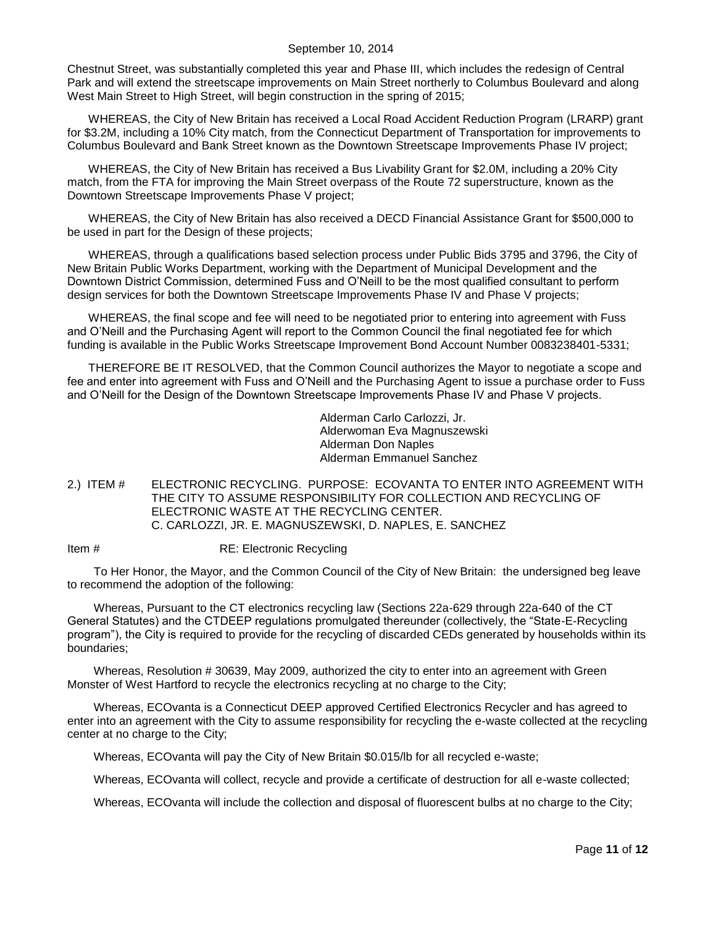Chestnut Street, was substantially completed this year and Phase III, which includes the redesign of Central Park and will extend the streetscape improvements on Main Street northerly to Columbus Boulevard and along West Main Street to High Street, will begin construction in the spring of 2015;

WHEREAS, the City of New Britain has received a Local Road Accident Reduction Program (LRARP) grant for \$3.2M, including a 10% City match, from the Connecticut Department of Transportation for improvements to Columbus Boulevard and Bank Street known as the Downtown Streetscape Improvements Phase IV project;

WHEREAS, the City of New Britain has received a Bus Livability Grant for \$2.0M, including a 20% City match, from the FTA for improving the Main Street overpass of the Route 72 superstructure, known as the Downtown Streetscape Improvements Phase V project;

WHEREAS, the City of New Britain has also received a DECD Financial Assistance Grant for \$500,000 to be used in part for the Design of these projects;

WHEREAS, through a qualifications based selection process under Public Bids 3795 and 3796, the City of New Britain Public Works Department, working with the Department of Municipal Development and the Downtown District Commission, determined Fuss and O'Neill to be the most qualified consultant to perform design services for both the Downtown Streetscape Improvements Phase IV and Phase V projects;

WHEREAS, the final scope and fee will need to be negotiated prior to entering into agreement with Fuss and O'Neill and the Purchasing Agent will report to the Common Council the final negotiated fee for which funding is available in the Public Works Streetscape Improvement Bond Account Number 0083238401-5331;

THEREFORE BE IT RESOLVED, that the Common Council authorizes the Mayor to negotiate a scope and fee and enter into agreement with Fuss and O'Neill and the Purchasing Agent to issue a purchase order to Fuss and O'Neill for the Design of the Downtown Streetscape Improvements Phase IV and Phase V projects.

> Alderman Carlo Carlozzi, Jr. Alderwoman Eva Magnuszewski Alderman Don Naples Alderman Emmanuel Sanchez

<span id="page-10-0"></span>2.) ITEM # ELECTRONIC RECYCLING. PURPOSE: ECOVANTA TO ENTER INTO AGREEMENT WITH THE CITY TO ASSUME RESPONSIBILITY FOR COLLECTION AND RECYCLING OF ELECTRONIC WASTE AT THE RECYCLING CENTER. C. CARLOZZI, JR. E. MAGNUSZEWSKI, D. NAPLES, E. SANCHEZ

Item # RE: Electronic Recycling

To Her Honor, the Mayor, and the Common Council of the City of New Britain: the undersigned beg leave to recommend the adoption of the following:

Whereas, Pursuant to the CT electronics recycling law (Sections 22a-629 through 22a-640 of the CT General Statutes) and the CTDEEP regulations promulgated thereunder (collectively, the "State-E-Recycling program"), the City is required to provide for the recycling of discarded CEDs generated by households within its boundaries;

Whereas, Resolution # 30639, May 2009, authorized the city to enter into an agreement with Green Monster of West Hartford to recycle the electronics recycling at no charge to the City;

Whereas, ECOvanta is a Connecticut DEEP approved Certified Electronics Recycler and has agreed to enter into an agreement with the City to assume responsibility for recycling the e-waste collected at the recycling center at no charge to the City;

Whereas, ECOvanta will pay the City of New Britain \$0.015/lb for all recycled e-waste;

Whereas, ECOvanta will collect, recycle and provide a certificate of destruction for all e-waste collected;

Whereas, ECOvanta will include the collection and disposal of fluorescent bulbs at no charge to the City;